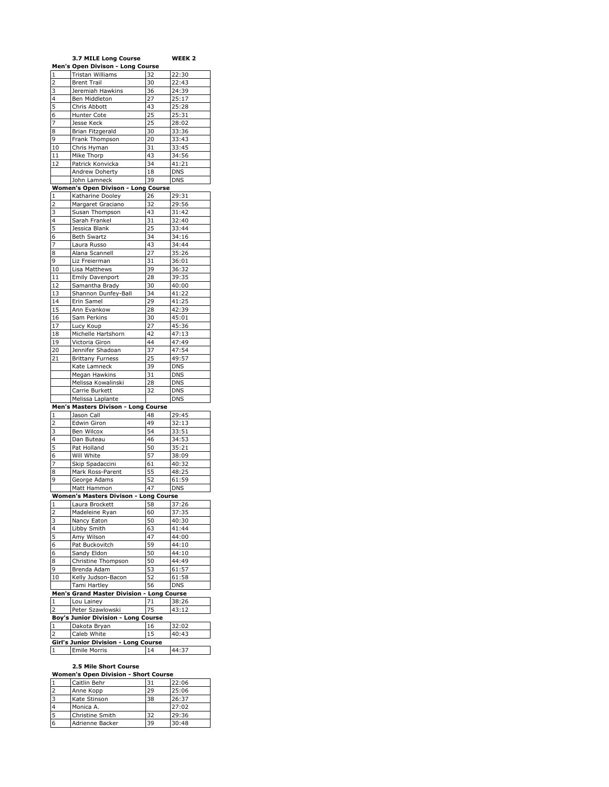|                         | 3.7 MILE Long Course                                |                          | WEEK 2     |
|-------------------------|-----------------------------------------------------|--------------------------|------------|
|                         | <b>Men's Open Divison - Long Course</b>             |                          |            |
| 1                       | Tristan Williams                                    | 32                       | 22:30      |
| 2                       | <b>Brent Trail</b>                                  | 30                       | 22:43      |
| 3                       | Jeremiah Hawkins                                    | 36                       | 24:39      |
| 4                       | Ben Middleton                                       | 27                       | 25:17      |
| 5                       | Chris Abbott                                        | 43                       | 25:28      |
| 6                       | <b>Hunter Cote</b>                                  | 25                       | 25:31      |
| 7                       | Jesse Keck                                          | 25                       | 28:02      |
| 8                       | Brian Fitzgerald                                    | 30                       | 33:36      |
| 9                       | Frank Thompson                                      | 20                       | 33:43      |
| 10                      | Chris Hyman                                         | 31                       | 33:45      |
| 11                      | Mike Thorp                                          | 43                       | 34:56      |
| 12                      | Patrick Konvicka                                    | 34                       | 41:21      |
|                         | Andrew Doherty                                      | 18                       | <b>DNS</b> |
|                         | John Lamneck                                        | 39                       | <b>DNS</b> |
|                         | Women's Open Divison - Long Course                  |                          |            |
| 1                       | Katharine Dooley                                    | 26                       | 29:31      |
|                         |                                                     |                          |            |
| 2                       | Margaret Graciano                                   | 32                       | 29:56      |
| 3                       | Susan Thompson                                      | 43                       | 31:42      |
| 4                       | Sarah Frankel                                       | 31                       | 32:40      |
| 5                       | Jessica Blank                                       | 25                       | 33:44      |
| 6                       | <b>Beth Swartz</b>                                  | 34                       | 34:16      |
| 7                       | Laura Russo                                         | 43                       | 34:44      |
| 8                       | Alana Scannell                                      | 27                       | 35:26      |
| 9                       | Liz Freierman                                       | 31                       | 36:01      |
| 10                      | Lisa Matthews                                       | 39                       | 36:32      |
| 11                      | <b>Emily Davenport</b>                              | 28                       | 39:35      |
| 12                      | Samantha Brady                                      | 30                       | 40:00      |
| 13                      | Shannon Dunfey-Ball                                 | 34                       | 41:22      |
| 14                      | Erin Samel                                          | 29                       | 41:25      |
| 15                      | Ann Evankow                                         | 28                       | 42:39      |
| 16                      | Sam Perkins                                         |                          | 45:01      |
| 17                      |                                                     | 30                       |            |
|                         | Lucy Koup                                           | 27                       | 45:36      |
| 18                      | Michelle Hartshorn                                  | 42                       | 47:13      |
| 19                      | Victoria Giron                                      | 44                       | 47:49      |
| 20                      | Jennifer Shadoan                                    | 37                       | 47:54      |
| 21                      | <b>Brittany Furness</b>                             | 25                       | 49:57      |
|                         | Kate Lamneck                                        | 39                       | <b>DNS</b> |
|                         | Megan Hawkins                                       | 31                       | <b>DNS</b> |
|                         | Melissa Kowalinski                                  | 28                       | <b>DNS</b> |
|                         | Carrie Burkett                                      | 32                       | <b>DNS</b> |
|                         | Melissa Laplante                                    |                          | DNS        |
|                         | Men's Masters Divison - Long Course                 |                          |            |
| $\mathbf 1$             | Jason Call                                          | 48                       | 29:45      |
| 2                       | Edwin Giron                                         | 49                       | 32:13      |
| 3                       | Ben Wilcox                                          | 54                       | 33:51      |
| 4                       | Dan Buteau                                          | 46                       | 34:53      |
| 5                       | Pat Holland                                         | 50                       | 35:21      |
| 6                       | Will White                                          | 57                       | 38:09      |
| 7                       | Skip Spadaccini                                     | 61                       | 40:32      |
| 8                       | Mark Ross-Parent                                    | 55                       | 48:25      |
| 9                       | George Adams                                        | 52                       | 61:59      |
|                         |                                                     | 47                       |            |
|                         | Matt Hammon                                         |                          | <b>DNS</b> |
|                         | Women's Masters Divison - Long Course               |                          |            |
| $\mathbf{1}$            | Laura Brockett                                      | 58                       | 37:26      |
| $\overline{\mathbf{2}}$ | Madeleine Ryan                                      | 60                       | 37:35      |
| 3                       | Nancy Eaton                                         | 50                       | 40:30      |
| 4                       | Libby Smith                                         | 63                       | 41:44      |
| 5                       | Amy Wilson                                          | 47                       | 44:00      |
| 6                       | Pat Buckovitch                                      | 59                       | 44:10      |
|                         | Sandy Eldon                                         | 50                       | 44:10      |
| 6                       |                                                     | 50                       | 44:49      |
| 8                       | Christine Thompson                                  |                          |            |
| 9                       | Brenda Adam                                         | 53                       | 61:57      |
| 10                      | Kelly Judson-Bacon                                  | 52                       | 61:58      |
|                         | Tami Hartley                                        | 56                       | DNS        |
|                         |                                                     |                          |            |
| 1                       | <b>Men's Grand Master Division</b><br>Lou Lainey    | <b>Long Course</b><br>71 | 38:26      |
|                         |                                                     |                          | 43:12      |
| 2                       | Peter Szawlowski                                    | 75                       |            |
|                         | <b>Boy's Junior Division - Long Course</b>          |                          |            |
| 1                       | Dakota Bryan                                        | 16                       | 32:02      |
| 2                       | Caleb White<br>Girl's Junior Division - Long Course | 15                       | 40:43      |

## **2.5 Mile Short Course**

| Caitlin Behr    |    | 22:06 |
|-----------------|----|-------|
| Anne Kopp       | 29 | 25:06 |
| Kate Stinson    | 38 | 26:37 |
| Monica A.       |    | 27:02 |
| Christine Smith | 32 | 29:36 |
| Adrienne Backer | 39 | 30:48 |